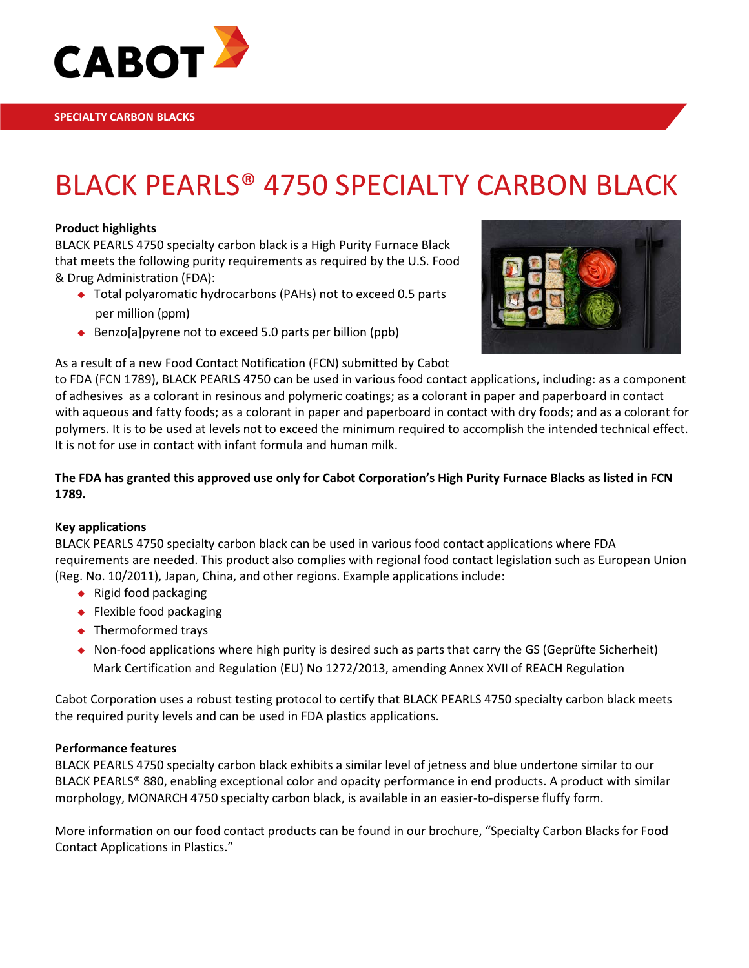

# BLACK PEARLS® 4750 SPECIALTY CARBON BLACK

### **Product highlights**

BLACK PEARLS 4750 specialty carbon black is a High Purity Furnace Black that meets the following purity requirements as required by the U.S. Food & Drug Administration (FDA):

- ◆ Total polyaromatic hydrocarbons (PAHs) not to exceed 0.5 parts per million (ppm)
- Benzo[a] pyrene not to exceed 5.0 parts per billion (ppb)



### As a result of a new Food Contact Notification (FCN) submitted by Cabot

to FDA (FCN 1789), BLACK PEARLS 4750 can be used in various food contact applications, including: as a component of adhesives as a colorant in resinous and polymeric coatings; as a colorant in paper and paperboard in contact with aqueous and fatty foods; as a colorant in paper and paperboard in contact with dry foods; and as a colorant for polymers. It is to be used at levels not to exceed the minimum required to accomplish the intended technical effect. It is not for use in contact with infant formula and human milk.

### **The FDA has granted this approved use only for Cabot Corporation's High Purity Furnace Blacks as listed in FCN 1789.**

### **Key applications**

BLACK PEARLS 4750 specialty carbon black can be used in various food contact applications where FDA requirements are needed. This product also complies with regional food contact legislation such as European Union (Reg. No. 10/2011), Japan, China, and other regions. Example applications include:

- $\bullet$  Rigid food packaging
- ◆ Flexible food packaging
- ◆ Thermoformed trays
- $\bullet$  Non-food applications where high purity is desired such as parts that carry the GS (Geprüfte Sicherheit) Mark Certification and Regulation (EU) No 1272/2013, amending Annex XVII of REACH Regulation

Cabot Corporation uses a robust testing protocol to certify that BLACK PEARLS 4750 specialty carbon black meets the required purity levels and can be used in FDA plastics applications.

### **Performance features**

BLACK PEARLS 4750 specialty carbon black exhibits a similar level of jetness and blue undertone similar to our BLACK PEARLS® 880, enabling exceptional color and opacity performance in end products. A product with similar morphology, MONARCH 4750 specialty carbon black, is available in an easier-to-disperse fluffy form.

More information on our food contact products can be found in our brochure, "Specialty Carbon Blacks for Food Contact Applications in Plastics."